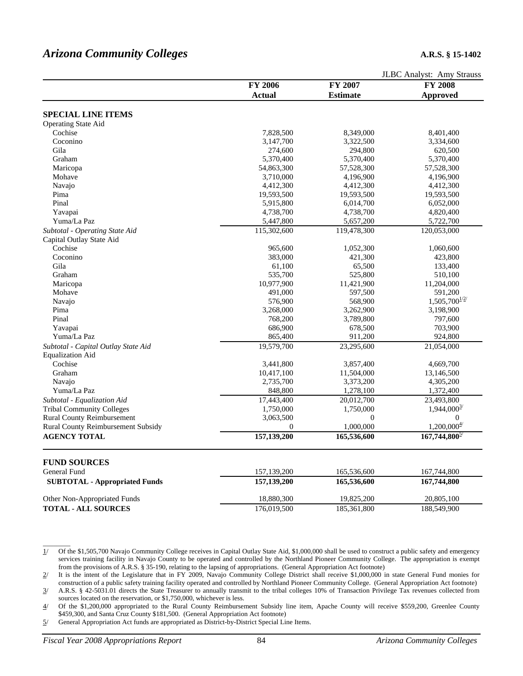# *Arizona Community Colleges* **A.R.S. § 15-1402**

|                                      |                      |                        | JLBC Analyst: Amy Strauss   |
|--------------------------------------|----------------------|------------------------|-----------------------------|
|                                      | <b>FY 2006</b>       | FY 2007                | <b>FY 2008</b>              |
|                                      | <b>Actual</b>        | <b>Estimate</b>        | <b>Approved</b>             |
| <b>SPECIAL LINE ITEMS</b>            |                      |                        |                             |
| <b>Operating State Aid</b>           |                      |                        |                             |
| Cochise                              | 7,828,500            | 8,349,000              | 8,401,400                   |
| Coconino                             | 3,147,700            | 3,322,500              | 3,334,600                   |
| Gila                                 | 274,600              | 294,800                | 620,500                     |
| Graham                               | 5,370,400            | 5,370,400              | 5,370,400                   |
| Maricopa                             | 54,863,300           | 57,528,300             | 57,528,300                  |
| Mohave                               | 3,710,000            | 4,196,900              | 4,196,900                   |
| Navajo                               | 4,412,300            | 4,412,300              | 4,412,300                   |
| Pima                                 | 19,593,500           | 19,593,500             | 19,593,500                  |
| Pinal                                | 5,915,800            | 6,014,700              | 6,052,000                   |
| Yavapai                              | 4,738,700            | 4,738,700              | 4,820,400                   |
| Yuma/La Paz                          | 5,447,800            | 5,657,200              | 5,722,700                   |
| Subtotal - Operating State Aid       | 115,302,600          | 119,478,300            | 120,053,000                 |
| Capital Outlay State Aid             |                      |                        |                             |
| Cochise                              | 965,600              | 1,052,300              | 1,060,600                   |
| Coconino                             | 383,000              | 421,300                | 423,800                     |
| Gila                                 | 61,100               | 65,500                 | 133,400                     |
| Graham                               | 535,700              | 525,800                | 510,100                     |
| Maricopa                             | 10,977,900           | 11,421,900             | 11,204,000                  |
| Mohave                               | 491,000              | 597,500                | 591,200                     |
| Navajo                               | 576,900              | 568,900                | $1,505,700^{\frac{1}{2}}$   |
| Pima                                 | 3,268,000            | 3,262,900              | 3,198,900                   |
| Pinal                                | 768,200              | 3,789,800              | 797,600                     |
| Yavapai                              | 686,900              | 678,500                | 703,900                     |
| Yuma/La Paz                          | 865,400              | 911,200                | 924,800                     |
|                                      | 19,579,700           | 23,295,600             | 21,054,000                  |
| Subtotal - Capital Outlay State Aid  |                      |                        |                             |
| <b>Equalization Aid</b><br>Cochise   | 3,441,800            | 3,857,400              | 4,669,700                   |
| Graham                               |                      | 11,504,000             |                             |
|                                      | 10,417,100           |                        | 13,146,500                  |
| Navajo<br>Yuma/La Paz                | 2,735,700<br>848,800 | 3,373,200<br>1,278,100 | 4,305,200                   |
|                                      |                      |                        | 1,372,400                   |
| Subtotal - Equalization Aid          | 17,443,400           | 20,012,700             | 23,493,800                  |
| <b>Tribal Community Colleges</b>     | 1,750,000            | 1,750,000              | $1,944,000^{\frac{3}{2}}$   |
| <b>Rural County Reimbursement</b>    | 3,063,500            | $\Omega$               | $\Omega$                    |
| Rural County Reimbursement Subsidy   | $\overline{0}$       | 1,000,000              | $1,200,000^{\underline{4}}$ |
| <b>AGENCY TOTAL</b>                  | 157,139,200          | 165,536,600            | $167,744,800^{27}$          |
| <b>FUND SOURCES</b>                  |                      |                        |                             |
| General Fund                         | 157,139,200          | 165,536,600            | 167,744,800                 |
|                                      | 157,139,200          | 165,536,600            | 167,744,800                 |
| <b>SUBTOTAL - Appropriated Funds</b> |                      |                        |                             |
| Other Non-Appropriated Funds         | 18,880,300           | 19,825,200             | 20,805,100                  |
| <b>TOTAL - ALL SOURCES</b>           | 176,019,500          | 185,361,800            | 188,549,900                 |

 $\overline{\phantom{a}}$ 1/ Of the \$1,505,700 Navajo Community College receives in Capital Outlay State Aid, \$1,000,000 shall be used to construct a public safety and emergency services training facility in Navajo County to be operated and controlled by the Northland Pioneer Community College. The appropriation is exempt from the provisions of A.R.S. § 35-190, relating to the lapsing of appropriations. (General Appropriation Act footnote)

<sup>2/</sup> It is the intent of the Legislature that in FY 2009, Navajo Community College District shall receive \$1,000,000 in state General Fund monies for construction of a public safety training facility operated and controlled by Northland Pioneer Community College. (General Appropriation Act footnote)

<sup>3/</sup> A.R.S. § 42-5031.01 directs the State Treasurer to annually transmit to the tribal colleges 10% of Transaction Privilege Tax revenues collected from sources located on the reservation, or \$1,750,000, whichever is less.

<sup>4/</sup> Of the \$1,200,000 appropriated to the Rural County Reimbursement Subsidy line item, Apache County will receive \$559,200, Greenlee County \$459,300, and Santa Cruz County \$181,500. (General Appropriation Act footnote)

<sup>5/</sup> General Appropriation Act funds are appropriated as District-by-District Special Line Items.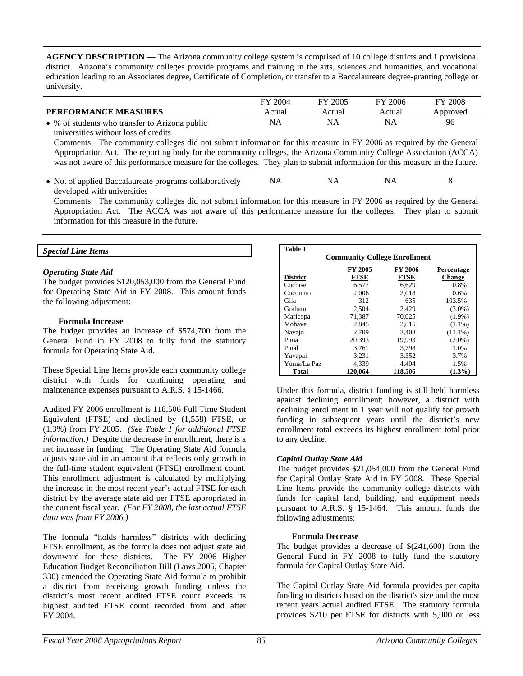**AGENCY DESCRIPTION** — The Arizona community college system is comprised of 10 college districts and 1 provisional district. Arizona's community colleges provide programs and training in the arts, sciences and humanities, and vocational education leading to an Associates degree, Certificate of Completion, or transfer to a Baccalaureate degree-granting college or university.

|                                                | FY 2004 | FY 2005 | FY 2006 | FY 2008  |
|------------------------------------------------|---------|---------|---------|----------|
| <b>PERFORMANCE MEASURES</b>                    | Actual  | Actual  | Actual  | Approved |
| • % of students who transfer to Arizona public | NA.     |         |         | 96       |

universities without loss of credits Comments: The community colleges did not submit information for this measure in FY 2006 as required by the General Appropriation Act. The reporting body for the community colleges, the Arizona Community College Association (ACCA) was not aware of this performance measure for the colleges. They plan to submit information for this measure in the future.

• No. of applied Baccalaureate programs collaboratively developed with universities NA NA NA 8

 Comments: The community colleges did not submit information for this measure in FY 2006 as required by the General Appropriation Act. The ACCA was not aware of this performance measure for the colleges. They plan to submit information for this measure in the future.

### *Special Line Items*

### *Operating State Aid*

The budget provides \$120,053,000 from the General Fund for Operating State Aid in FY 2008. This amount funds the following adjustment:

#### **Formula Increase**

The budget provides an increase of \$574,700 from the General Fund in FY 2008 to fully fund the statutory formula for Operating State Aid.

These Special Line Items provide each community college district with funds for continuing operating and maintenance expenses pursuant to A.R.S. § 15-1466.

Audited FY 2006 enrollment is 118,506 Full Time Student Equivalent (FTSE) and declined by (1,558) FTSE, or (1.3%) from FY 2005. *(See Table 1 for additional FTSE information.)* Despite the decrease in enrollment, there is a net increase in funding. The Operating State Aid formula adjusts state aid in an amount that reflects only growth in the full-time student equivalent (FTSE) enrollment count. This enrollment adjustment is calculated by multiplying the increase in the most recent year's actual FTSE for each district by the average state aid per FTSE appropriated in the current fiscal year. *(For FY 2008, the last actual FTSE data was from FY 2006.)*

The formula "holds harmless" districts with declining FTSE enrollment, as the formula does not adjust state aid downward for these districts. The FY 2006 Higher Education Budget Reconciliation Bill (Laws 2005, Chapter 330) amended the Operating State Aid formula to prohibit a district from receiving growth funding unless the district's most recent audited FTSE count exceeds its highest audited FTSE count recorded from and after FY 2004.

| <b>Table 1</b>                      |             |             |               |  |  |  |  |  |
|-------------------------------------|-------------|-------------|---------------|--|--|--|--|--|
| <b>Community College Enrollment</b> |             |             |               |  |  |  |  |  |
| FY 2005<br>FY 2006<br>Percentage    |             |             |               |  |  |  |  |  |
| <b>District</b>                     | <b>FTSE</b> | <b>FTSE</b> | <b>Change</b> |  |  |  |  |  |
| Cochise                             | 6.577       | 6,629       | 0.8%          |  |  |  |  |  |
| Coconino                            | 2.006       | 2.018       | 0.6%          |  |  |  |  |  |
| Gila                                | 312         | 635         | 103.5%        |  |  |  |  |  |
| Graham                              | 2,504       | 2,429       | $(3.0\%)$     |  |  |  |  |  |
| Maricopa                            | 71,387      | 70.025      | $(1.9\%)$     |  |  |  |  |  |
| Mohave                              | 2.845       | 2.815       | $(1.1\%)$     |  |  |  |  |  |
| Navajo                              | 2,709       | 2,408       | $(11.1\%)$    |  |  |  |  |  |
| Pima                                | 20,393      | 19,993      | $(2.0\%)$     |  |  |  |  |  |
| Pinal                               | 3.761       | 3.798       | 1.0%          |  |  |  |  |  |
| Yavapai                             | 3,231       | 3,352       | 3.7%          |  |  |  |  |  |
| Yuma/La Paz                         | 4,339       | 4,404       | 1.5%          |  |  |  |  |  |
| Total                               | 120,064     | 118.506     | $(1.3\%)$     |  |  |  |  |  |

Under this formula, district funding is still held harmless against declining enrollment; however, a district with declining enrollment in 1 year will not qualify for growth funding in subsequent years until the district's new enrollment total exceeds its highest enrollment total prior to any decline.

#### *Capital Outlay State Aid*

The budget provides \$21,054,000 from the General Fund for Capital Outlay State Aid in FY 2008. These Special Line Items provide the community college districts with funds for capital land, building, and equipment needs pursuant to A.R.S. § 15-1464. This amount funds the following adjustments:

#### **Formula Decrease**

The budget provides a decrease of \$(241,600) from the General Fund in FY 2008 to fully fund the statutory formula for Capital Outlay State Aid.

The Capital Outlay State Aid formula provides per capita funding to districts based on the district's size and the most recent years actual audited FTSE. The statutory formula provides \$210 per FTSE for districts with 5,000 or less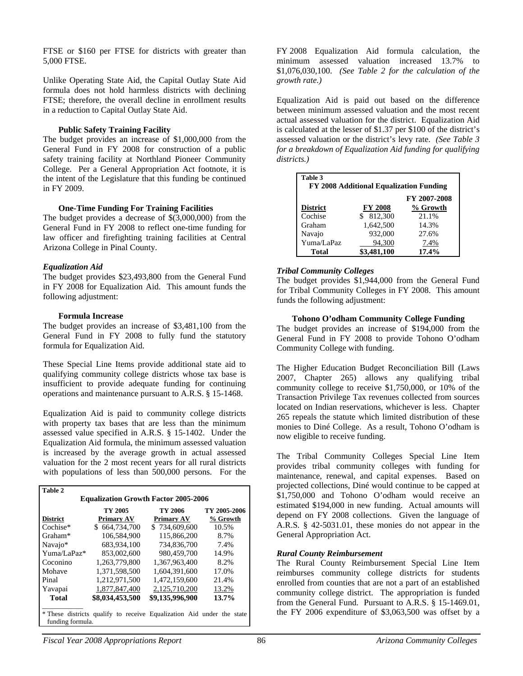FTSE or \$160 per FTSE for districts with greater than 5,000 FTSE.

Unlike Operating State Aid, the Capital Outlay State Aid formula does not hold harmless districts with declining FTSE; therefore, the overall decline in enrollment results in a reduction to Capital Outlay State Aid.

#### **Public Safety Training Facility**

The budget provides an increase of \$1,000,000 from the General Fund in FY 2008 for construction of a public safety training facility at Northland Pioneer Community College. Per a General Appropriation Act footnote, it is the intent of the Legislature that this funding be continued in FY 2009.

#### **One-Time Funding For Training Facilities**

The budget provides a decrease of \$(3,000,000) from the General Fund in FY 2008 to reflect one-time funding for law officer and firefighting training facilities at Central Arizona College in Pinal County.

### *Equalization Aid*

The budget provides \$23,493,800 from the General Fund in FY 2008 for Equalization Aid. This amount funds the following adjustment:

#### **Formula Increase**

The budget provides an increase of \$3,481,100 from the General Fund in FY 2008 to fully fund the statutory formula for Equalization Aid.

These Special Line Items provide additional state aid to qualifying community college districts whose tax base is insufficient to provide adequate funding for continuing operations and maintenance pursuant to A.R.S. § 15-1468.

Equalization Aid is paid to community college districts with property tax bases that are less than the minimum assessed value specified in A.R.S. § 15-1402. Under the Equalization Aid formula, the minimum assessed valuation is increased by the average growth in actual assessed valuation for the 2 most recent years for all rural districts with populations of less than 500,000 persons. For the

| Table 2                                     |                                                                       |                   |              |  |  |  |  |
|---------------------------------------------|-----------------------------------------------------------------------|-------------------|--------------|--|--|--|--|
| <b>Equalization Growth Factor 2005-2006</b> |                                                                       |                   |              |  |  |  |  |
|                                             | TY 2005                                                               | TY 2006           | TY 2005-2006 |  |  |  |  |
| <b>District</b>                             | <b>Primary AV</b>                                                     | <b>Primary AV</b> | % Growth     |  |  |  |  |
| Cochise*                                    | \$664,734,700                                                         | \$734,609,600     | 10.5%        |  |  |  |  |
| Graham*                                     | 106,584,900                                                           | 115,866,200       | 8.7%         |  |  |  |  |
| Navajo*                                     | 683.934.100                                                           | 734,836,700       | 7.4%         |  |  |  |  |
| Yuma/LaPaz*                                 | 853,002,600                                                           | 980.459.700       | 14.9%        |  |  |  |  |
| Coconino                                    | 1.263.779.800                                                         | 1.367.963.400     | 8.2%         |  |  |  |  |
| Mohave                                      | 1,371,598,500                                                         | 1.604.391.600     | 17.0%        |  |  |  |  |
| Pinal                                       | 1,212,971,500                                                         | 1.472.159.600     | 21.4%        |  |  |  |  |
| Yavapai                                     | 1,877,847,400                                                         | 2,125,710,200     | 13.2%        |  |  |  |  |
| <b>Total</b>                                | \$8,034,453,500                                                       | \$9,135,996,900   | 13.7%        |  |  |  |  |
| funding formula.                            | * These districts qualify to receive Equalization Aid under the state |                   |              |  |  |  |  |

FY 2008 Equalization Aid formula calculation, the minimum assessed valuation increased 13.7% to \$1,076,030,100. *(See Table 2 for the calculation of the growth rate.)* 

Equalization Aid is paid out based on the difference between minimum assessed valuation and the most recent actual assessed valuation for the district. Equalization Aid is calculated at the lesser of \$1.37 per \$100 of the district's assessed valuation or the district's levy rate. *(See Table 3 for a breakdown of Equalization Aid funding for qualifying districts.)*

| Table 3<br>FY 2008 Additional Equalization Funding |                |                          |  |  |  |  |
|----------------------------------------------------|----------------|--------------------------|--|--|--|--|
| <b>District</b>                                    | <b>FY 2008</b> | FY 2007-2008<br>% Growth |  |  |  |  |
| Cochise                                            | 812,300        | 21.1%                    |  |  |  |  |
| Graham                                             | 1.642.500      | 14.3%                    |  |  |  |  |
| Navajo                                             | 932,000        | 27.6%                    |  |  |  |  |
| Yuma/LaPaz                                         | 94,300         | 7.4%                     |  |  |  |  |
| Total                                              | \$3,481,100    | 17.4%                    |  |  |  |  |

### *Tribal Community Colleges*

The budget provides \$1,944,000 from the General Fund for Tribal Community Colleges in FY 2008. This amount funds the following adjustment:

#### **Tohono O'odham Community College Funding**

The budget provides an increase of \$194,000 from the General Fund in FY 2008 to provide Tohono O'odham Community College with funding.

The Higher Education Budget Reconciliation Bill (Laws 2007, Chapter 265) allows any qualifying tribal community college to receive \$1,750,000, or 10% of the Transaction Privilege Tax revenues collected from sources located on Indian reservations, whichever is less. Chapter 265 repeals the statute which limited distribution of these monies to Diné College. As a result, Tohono O'odham is now eligible to receive funding.

The Tribal Community Colleges Special Line Item provides tribal community colleges with funding for maintenance, renewal, and capital expenses. Based on projected collections, Diné would continue to be capped at \$1,750,000 and Tohono O'odham would receive an estimated \$194,000 in new funding. Actual amounts will depend on FY 2008 collections.Given the language of A.R.S. § 42-5031.01, these monies do not appear in the General Appropriation Act.

# *Rural County Reimbursement*

The Rural County Reimbursement Special Line Item reimburses community college districts for students enrolled from counties that are not a part of an established community college district. The appropriation is funded from the General Fund. Pursuant to A.R.S. § 15-1469.01, the FY 2006 expenditure of \$3,063,500 was offset by a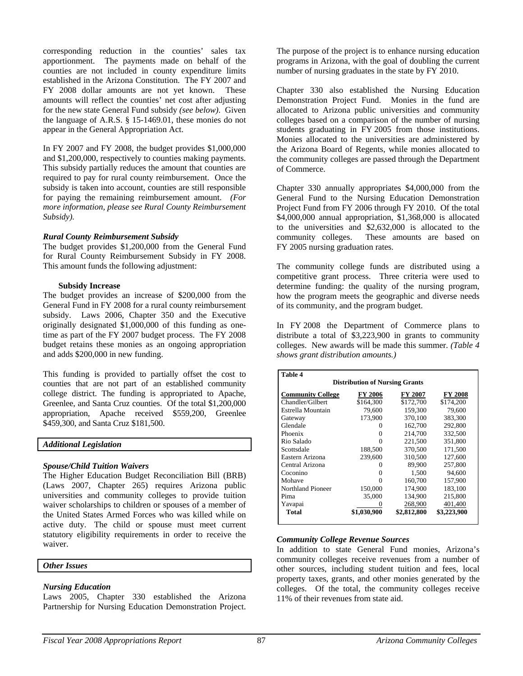corresponding reduction in the counties' sales tax apportionment. The payments made on behalf of the counties are not included in county expenditure limits established in the Arizona Constitution. The FY 2007 and FY 2008 dollar amounts are not yet known. These amounts will reflect the counties' net cost after adjusting for the new state General Fund subsidy *(see below)*. Given the language of A.R.S. § 15-1469.01, these monies do not appear in the General Appropriation Act.

In FY 2007 and FY 2008, the budget provides \$1,000,000 and \$1,200,000, respectively to counties making payments. This subsidy partially reduces the amount that counties are required to pay for rural county reimbursement. Once the subsidy is taken into account, counties are still responsible for paying the remaining reimbursement amount. *(For more information, please see Rural County Reimbursement Subsidy).* 

#### *Rural County Reimbursement Subsidy*

The budget provides \$1,200,000 from the General Fund for Rural County Reimbursement Subsidy in FY 2008. This amount funds the following adjustment:

#### **Subsidy Increase**

The budget provides an increase of \$200,000 from the General Fund in FY 2008 for a rural county reimbursement subsidy. Laws 2006, Chapter 350 and the Executive originally designated \$1,000,000 of this funding as onetime as part of the FY 2007 budget process. The FY 2008 budget retains these monies as an ongoing appropriation and adds \$200,000 in new funding.

This funding is provided to partially offset the cost to counties that are not part of an established community college district. The funding is appropriated to Apache, Greenlee, and Santa Cruz counties. Of the total \$1,200,000 appropriation, Apache received \$559,200, Greenlee \$459,300, and Santa Cruz \$181,500.

#### *Additional Legislation*

# *Spouse/Child Tuition Waivers*

The Higher Education Budget Reconciliation Bill (BRB) (Laws 2007, Chapter 265) requires Arizona public universities and community colleges to provide tuition waiver scholarships to children or spouses of a member of the United States Armed Forces who was killed while on active duty. The child or spouse must meet current statutory eligibility requirements in order to receive the waiver.

#### *Other Issues*

# *Nursing Education*

Laws 2005, Chapter 330 established the Arizona Partnership for Nursing Education Demonstration Project. The purpose of the project is to enhance nursing education programs in Arizona, with the goal of doubling the current number of nursing graduates in the state by FY 2010.

Chapter 330 also established the Nursing Education Demonstration Project Fund. Monies in the fund are allocated to Arizona public universities and community colleges based on a comparison of the number of nursing students graduating in FY 2005 from those institutions. Monies allocated to the universities are administered by the Arizona Board of Regents, while monies allocated to the community colleges are passed through the Department of Commerce.

Chapter 330 annually appropriates \$4,000,000 from the General Fund to the Nursing Education Demonstration Project Fund from FY 2006 through FY 2010. Of the total \$4,000,000 annual appropriation, \$1,368,000 is allocated to the universities and \$2,632,000 is allocated to the community colleges. These amounts are based on FY 2005 nursing graduation rates.

The community college funds are distributed using a competitive grant process. Three criteria were used to determine funding: the quality of the nursing program, how the program meets the geographic and diverse needs of its community, and the program budget.

In FY 2008 the Department of Commerce plans to distribute a total of \$3,223,900 in grants to community colleges. New awards will be made this summer. *(Table 4 shows grant distribution amounts.)* 

| Table 4                                                          |             |             |             |  |  |  |  |  |
|------------------------------------------------------------------|-------------|-------------|-------------|--|--|--|--|--|
| <b>Distribution of Nursing Grants</b>                            |             |             |             |  |  |  |  |  |
| <b>Community College</b><br>FY 2006<br><b>FY 2008</b><br>FY 2007 |             |             |             |  |  |  |  |  |
| Chandler/Gilbert                                                 | \$164.300   | \$172,700   | \$174.200   |  |  |  |  |  |
| Estrella Mountain                                                | 79,600      | 159,300     | 79,600      |  |  |  |  |  |
| Gateway                                                          | 173,900     | 370,100     | 383,300     |  |  |  |  |  |
| Glendale                                                         | $^{(1)}$    | 162,700     | 292,800     |  |  |  |  |  |
| Phoenix                                                          | 0           | 214,700     | 332,500     |  |  |  |  |  |
| Rio Salado                                                       | 0           | 221,500     | 351,800     |  |  |  |  |  |
| Scottsdale                                                       | 188,500     | 370,500     | 171,500     |  |  |  |  |  |
| Eastern Arizona                                                  | 239,600     | 310,500     | 127,600     |  |  |  |  |  |
| Central Arizona                                                  | $\theta$    | 89,900      | 257,800     |  |  |  |  |  |
| Coconino                                                         | 0           | 1,500       | 94,600      |  |  |  |  |  |
| Mohave                                                           | 0           | 160,700     | 157,900     |  |  |  |  |  |
| Northland Pioneer                                                | 150,000     | 174.900     | 183.100     |  |  |  |  |  |
| Pima                                                             | 35,000      | 134,900     | 215,800     |  |  |  |  |  |
| Yavapai                                                          |             | 268,900     | 401,400     |  |  |  |  |  |
| Total                                                            | \$1,030,900 | \$2,812,800 | \$3,223,900 |  |  |  |  |  |

# *Community College Revenue Sources*

In addition to state General Fund monies, Arizona's community colleges receive revenues from a number of other sources, including student tuition and fees, local property taxes, grants, and other monies generated by the colleges. Of the total, the community colleges receive 11% of their revenues from state aid.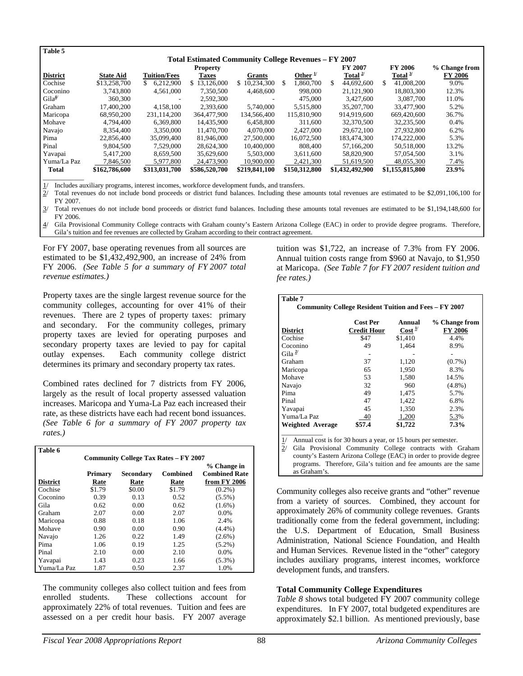| Table 5                                                     |                  |                     |                  |               |    |                     |         |                 |                  |                |
|-------------------------------------------------------------|------------------|---------------------|------------------|---------------|----|---------------------|---------|-----------------|------------------|----------------|
| <b>Total Estimated Community College Revenues – FY 2007</b> |                  |                     |                  |               |    |                     |         |                 |                  |                |
|                                                             | <b>Property</b>  |                     |                  |               |    |                     | FY 2007 | FY 2006         | % Change from    |                |
| <b>District</b>                                             | <b>State Aid</b> | <b>Tuition/Fees</b> | <b>Taxes</b>     | <b>Grants</b> |    | Other $\frac{1}{1}$ |         | Total $^{2/}$   | Total $3/$       | <b>FY 2006</b> |
| Cochise                                                     | \$13,258,700     | 6.212,900           | 13,126,000<br>\$ | 10.234.300    | \$ | 1.860.700           | \$.     | 44,692,600      | \$<br>41,008,200 | 9.0%           |
| Coconino                                                    | 3.743.800        | 4.561,000           | 7,350,500        | 4,468,600     |    | 998,000             |         | 21,121,900      | 18,803,300       | 12.3%          |
| Gila <sup>4</sup>                                           | 360,300          |                     | 2,592,300        |               |    | 475,000             |         | 3,427,600       | 3,087,700        | 11.0%          |
| Graham                                                      | 17,400,200       | 4.158.100           | 2.393.600        | 5.740,000     |    | 5.515.800           |         | 35,207,700      | 33,477,900       | 5.2%           |
| Maricopa                                                    | 68.950.200       | 231,114,200         | 364,477,900      | 134,566,400   |    | 115,810,900         |         | 914.919.600     | 669,420,600      | 36.7%          |
| Mohave                                                      | 4,794,400        | 6.369.800           | 14.435.900       | 6,458,800     |    | 311,600             |         | 32,370,500      | 32,235,500       | 0.4%           |
| Navajo                                                      | 8,354,400        | 3,350,000           | 11,470,700       | 4,070,000     |    | 2,427,000           |         | 29,672,100      | 27,932,800       | 6.2%           |
| Pima                                                        | 22,856,400       | 35,099,400          | 81,946,000       | 27,500,000    |    | 16,072,500          |         | 183,474,300     | 174,222,000      | 5.3%           |
| Pinal                                                       | 9.804.500        | 7.529,000           | 28.624.300       | 10,400,000    |    | 808,400             |         | 57,166,200      | 50.518,000       | 13.2%          |
| Yavapai                                                     | 5.417.200        | 8.659.500           | 35,629,600       | 5,503,000     |    | 3.611.600           |         | 58,820,900      | 57.054.500       | 3.1%           |
| Yuma/La Paz                                                 | 7,846,500        | 5.977.800           | 24,473,900       | 10.900.000    |    | 2,421,300           |         | 51.619.500      | 48,055,300       | 7.4%           |
| <b>Total</b>                                                | \$162,786,600    | \$313,031,700       | \$586,520,700    | \$219,841,100 |    | \$150,312,800       |         | \$1,432,492,900 | \$1,155,815,800  | 23.9%          |
|                                                             |                  |                     |                  |               |    |                     |         |                 |                  |                |

1/ Includes auxiliary programs, interest incomes, workforce development funds, and transfers.

 $2/$  Total revenues do not include bond proceeds or district fund balances. Including these amounts total revenues are estimated to be \$2,091,106,100 for FY 2007.

3/ Total revenues do not include bond proceeds or district fund balances. Including these amounts total revenues are estimated to be \$1,194,148,600 for FY 2006.

4/ Gila Provisional Community College contracts with Graham county's Eastern Arizona College (EAC) in order to provide degree programs. Therefore, Gila's tuition and fee revenues are collected by Graham according to their contract agreement.

For FY 2007, base operating revenues from all sources are estimated to be \$1,432,492,900, an increase of 24% from FY 2006. *(See Table 5 for a summary of FY 2007 total revenue estimates.)* 

Property taxes are the single largest revenue source for the community colleges, accounting for over 41% of their revenues. There are 2 types of property taxes: primary and secondary. For the community colleges, primary property taxes are levied for operating purposes and secondary property taxes are levied to pay for capital outlay expenses. Each community college district determines its primary and secondary property tax rates.

Combined rates declined for 7 districts from FY 2006, largely as the result of local property assessed valuation increases. Maricopa and Yuma-La Paz each increased their rate, as these districts have each had recent bond issuances. *(See Table 6 for a summary of FY 2007 property tax rates.)*

| Table 6                                      |         |           |                 |                      |  |  |  |
|----------------------------------------------|---------|-----------|-----------------|----------------------|--|--|--|
| <b>Community College Tax Rates – FY 2007</b> |         |           |                 |                      |  |  |  |
|                                              |         |           |                 | % Change in          |  |  |  |
|                                              | Primary | Secondary | <b>Combined</b> | <b>Combined Rate</b> |  |  |  |
| <b>District</b>                              | Rate    | Rate      | Rate            | from FY 2006         |  |  |  |
| Cochise                                      | \$1.79  | \$0.00    | \$1.79          | $(0.2\%)$            |  |  |  |
| Coconino                                     | 0.39    | 0.13      | 0.52            | $(5.5\%)$            |  |  |  |
| Gila                                         | 0.62    | 0.00      | 0.62            | $(1.6\%)$            |  |  |  |
| Graham                                       | 2.07    | 0.00      | 2.07            | 0.0%                 |  |  |  |
| Maricopa                                     | 0.88    | 0.18      | 1.06            | 2.4%                 |  |  |  |
| Mohave                                       | 0.90    | 0.00      | 0.90            | $(4.4\%)$            |  |  |  |
| Navajo                                       | 1.26    | 0.22      | 1.49            | $(2.6\%)$            |  |  |  |
| Pima                                         | 1.06    | 0.19      | 1.25            | $(5.2\%)$            |  |  |  |
| Pinal                                        | 2.10    | 0.00      | 2.10            | 0.0%                 |  |  |  |
| Yavapai                                      | 1.43    | 0.23      | 1.66            | $(5.3\%)$            |  |  |  |
| Yuma/La Paz                                  | 1.87    | 0.50      | 2.37            | 1.0%                 |  |  |  |

The community colleges also collect tuition and fees from enrolled students. These collections account for approximately 22% of total revenues. Tuition and fees are assessed on a per credit hour basis. FY 2007 average

tuition was \$1,722, an increase of 7.3% from FY 2006. Annual tuition costs range from \$960 at Navajo, to \$1,950 at Maricopa. *(See Table 7 for FY 2007 resident tuition and fee rates.)* 

| Table 7                                                      |                                |                             |                                 |  |  |  |
|--------------------------------------------------------------|--------------------------------|-----------------------------|---------------------------------|--|--|--|
| <b>Community College Resident Tuition and Fees - FY 2007</b> |                                |                             |                                 |  |  |  |
| <b>District</b>                                              | Cost Per<br><b>Credit Hour</b> | Annual<br>Cost <sup>1</sup> | % Change from<br><b>FY 2006</b> |  |  |  |
| Cochise                                                      | \$47                           | \$1,410                     | 4.4%                            |  |  |  |
| Coconino                                                     | 49                             | 1.464                       | 8.9%                            |  |  |  |
| Gila <sup>2/</sup>                                           |                                |                             |                                 |  |  |  |
| Graham                                                       | 37                             | 1,120                       | $(0.7\%)$                       |  |  |  |
| Maricopa                                                     | 65                             | 1,950                       | 8.3%                            |  |  |  |
| Mohave                                                       | 53                             | 1,580                       | 14.5%                           |  |  |  |
| Navajo                                                       | 32                             | 960                         | $(4.8\%)$                       |  |  |  |
| Pima                                                         | 49                             | 1.475                       | 5.7%                            |  |  |  |
| Pinal                                                        | 47                             | 1,422                       | 6.8%                            |  |  |  |
| Yavapai                                                      | 45                             | 1,350                       | 2.3%                            |  |  |  |
| Yuma/La Paz                                                  | 40                             | 1,200                       | 5.3%                            |  |  |  |
| Weighted Average                                             | \$57.4                         | \$1,722                     | 7.3%                            |  |  |  |
|                                                              |                                |                             |                                 |  |  |  |

1/ Annual cost is for 30 hours a year, or 15 hours per semester.

2/ Gila Provisional Community College contracts with Graham county's Eastern Arizona College (EAC) in order to provide degree programs. Therefore, Gila's tuition and fee amounts are the same as Graham's.

Community colleges also receive grants and "other" revenue from a variety of sources. Combined, they account for approximately 26% of community college revenues. Grants traditionally come from the federal government, including: the U.S. Department of Education, Small Business Administration, National Science Foundation, and Health and Human Services. Revenue listed in the "other" category includes auxiliary programs, interest incomes, workforce development funds, and transfers.

#### **Total Community College Expenditures**

*Table 8* shows total budgeted FY 2007 community college expenditures. In FY 2007, total budgeted expenditures are approximately \$2.1 billion. As mentioned previously, base